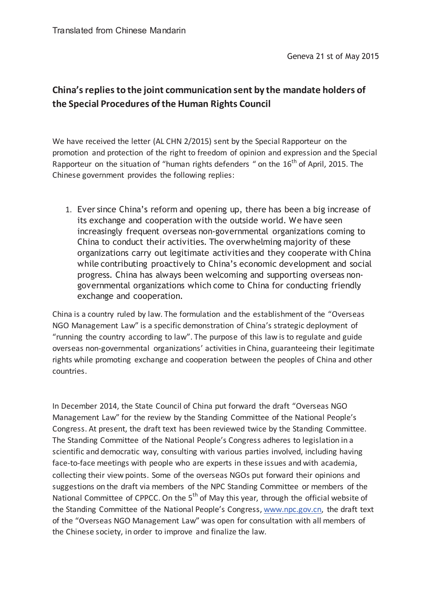## **China's replies to the joint communication sent by the mandate holders of the Special Procedures of the Human Rights Council**

We have received the letter (AL CHN 2/2015) sent by the Special Rapporteur on the promotion and protection of the right to freedom of opinion and expression and the Special Rapporteur on the situation of "human rights defenders " on the  $16<sup>th</sup>$  of April, 2015. The Chinese government provides the following replies:

1. Ever since China's reform and opening up, there has been a big increase of its exchange and cooperation with the outside world. We have seen increasingly frequent overseas non-governmental organizations coming to China to conduct their activities. The overwhelming majority of these organizations carry out legitimate activities and they cooperate with China while contributing proactively to China's economic development and social progress. China has always been welcoming and supporting overseas nongovernmental organizations which come to China for conducting friendly exchange and cooperation.

China is a country ruled by law. The formulation and the establishment of the "Overseas NGO Management Law" is a specific demonstration of China's strategic deployment of "running the country according to law". The purpose of this law is to regulate and guide overseas non-governmental organizations' activities in China, guaranteeing their legitimate rights while promoting exchange and cooperation between the peoples of China and other countries.

In December 2014, the State Council of China put forward the draft "Overseas NGO Management Law" for the review by the Standing Committee of the National People's Congress. At present, the draft text has been reviewed twice by the Standing Committee. The Standing Committee of the National People's Congress adheres to legislation in a scientific and democratic way, consulting with various parties involved, including having face-to-face meetings with people who are experts in these issues and with academia, collecting their view points. Some of the overseas NGOs put forward their opinions and suggestions on the draft via members of the NPC Standing Committee or members of the National Committee of CPPCC. On the  $5<sup>th</sup>$  of May this year, through the official website of the Standing Committee of the National People's Congress, www.npc.gov.cn, the draft text of the "Overseas NGO Management Law" was open for consultation with all members of the Chinese society, in order to improve and finalize the law.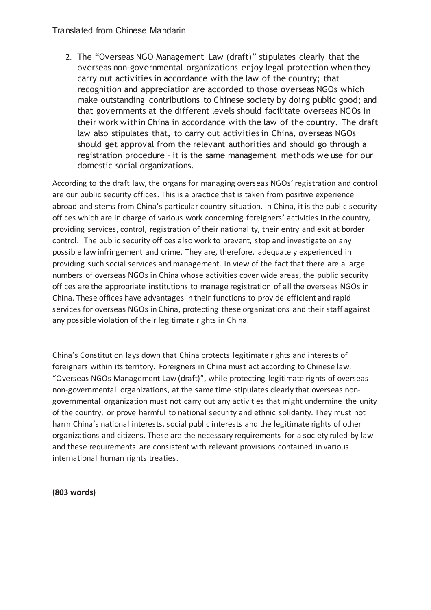## Translated from Chinese Mandarin

2. The "Overseas NGO Management Law (draft)" stipulates clearly that the overseas non-governmental organizations enjoy legal protection when they carry out activities in accordance with the law of the country; that recognition and appreciation are accorded to those overseas NGOs which make outstanding contributions to Chinese society by doing public good; and that governments at the different levels should facilitate overseas NGOs in their work within China in accordance with the law of the country. The draft law also stipulates that, to carry out activities in China, overseas NGOs should get approval from the relevant authorities and should go through a registration procedure – it is the same management methods we use for our domestic social organizations.

According to the draft law, the organs for managing overseas NGOs' registration and control are our public security offices. This is a practice that is taken from positive experience abroad and stems from China's particular country situation. In China, it is the public security offices which are in charge of various work concerning foreigners' activities in the country, providing services, control, registration of their nationality, their entry and exit at border control. The public security offices also work to prevent, stop and investigate on any possible law infringement and crime. They are, therefore, adequately experienced in providing such social services and management. In view of the fact that there are a large numbers of overseas NGOs in China whose activities cover wide areas, the public security offices are the appropriate institutions to manage registration of all the overseas NGOs in China. These offices have advantages in their functions to provide efficient and rapid services for overseas NGOs in China, protecting these organizations and their staff against any possible violation of their legitimate rights in China.

China's Constitution lays down that China protects legitimate rights and interests of foreigners within its territory. Foreigners in China must act according to Chinese law. "Overseas NGOs Management Law (draft)", while protecting legitimate rights of overseas non-governmental organizations, at the same time stipulates clearly that overseas nongovernmental organization must not carry out any activities that might undermine the unity of the country, or prove harmful to national security and ethnic solidarity. They must not harm China's national interests, social public interests and the legitimate rights of other organizations and citizens. These are the necessary requirements for a society ruled by law and these requirements are consistent with relevant provisions contained in various international human rights treaties.

**(803 words)**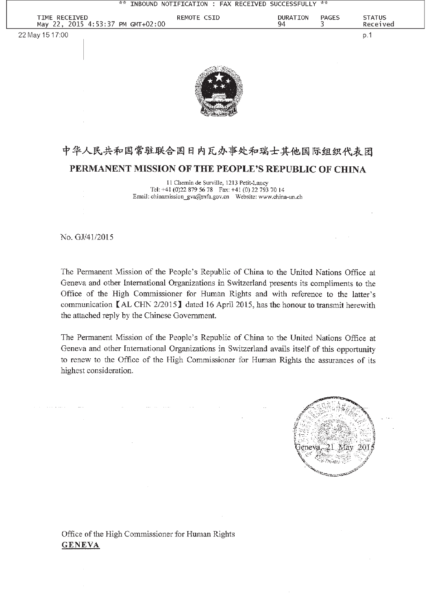

## 中华人民共和国常驻联合国日内瓦办事处和瑞士其他国际组织代表团 PERMANENT MISSION OF THE PEOPLE'S REPUBLIC OF CHINA

11 Chemin de Surville, 1213 Petit-Lancy Tel: +41 (0)22 879 56 78 Fax: +41 (0) 22 793 70 14 Email: chinamission\_gva@mfa.gov.cn Website: www.china-un.ch

No. GJ/41/2015

The Permanent Mission of the People's Republic of China to the United Nations Office at Geneva and other International Organizations in Switzerland presents its compliments to the Office of the High Commissioner for Human Rights and with reference to the latter's communication  $\blacksquare$  AL CHN 2/2015  $\blacksquare$  dated 16 April 2015, has the honour to transmit herewith the attached reply by the Chinese Government.

The Permanent Mission of the People's Republic of China to the United Nations Office at Geneva and other International Organizations in Switzerland avails itself of this opportunity to renew to the Office of the High Commissioner for Human Rights the assurances of its highest consideration.



Office of the High Commissioner for Human Rights **GENEVA**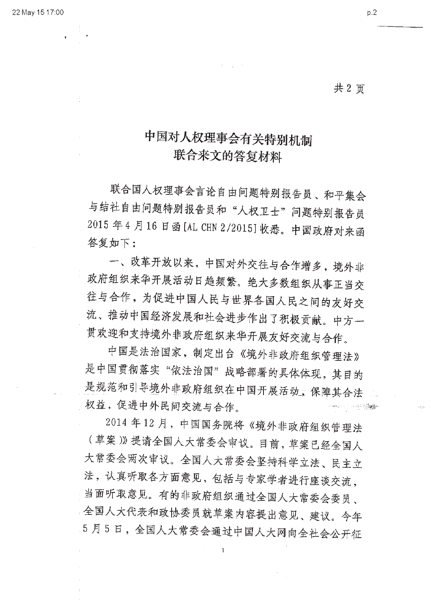共2页

 $p.2$ 

## 中国对人权理事会有关特别机制 联合来文的答复材料

联合国人权理事会言论自由问题特别报告员、和平集会 与结社自由问题特别报告员和"人权卫士"问题特别报告员 2015年4月16日函[AL CHN 2/2015]收悉。中国政府对来函 答复如下:

一、改革开放以来,中国对外交往与合作增多,境外非 政府组织来华开展活动日趋频繁。绝大多数组织从事正当交 往与合作,为促进中国人民与世界各国人民之间的友好交 流、推动中国经济发展和社会进步作出了积极贡献。中方一 贯欢迎和支持境外非政府组织来华开展友好交流与合作。

中国是法治国家,制定出台《境外非政府组织管理法》 是中国贯彻落实"依法治国"战略部署的具体体现,其目的 是规范和引导境外非政府组织在中国开展活动、保障其合法 权益,促进中外民间交流与合作。 

2014年12月,中国国务院将《境外非政府组织管理法 (草案)》提请全国人大常委会审议。目前,草案已经全国人 大常委会两次审议。全国人大常委会坚持科学立法、民主立 法,认真听取各方面意见,包括与专家学者进行座谈交流, 当面听取意见。有的非政府组织通过全国人大常委会委员、 全国人大代表和政协委员就草案内容提出意见、建议。今年 5月5日,全国人大常委会通过中国人大网向全社会公开征

 $\mathbf{1}$